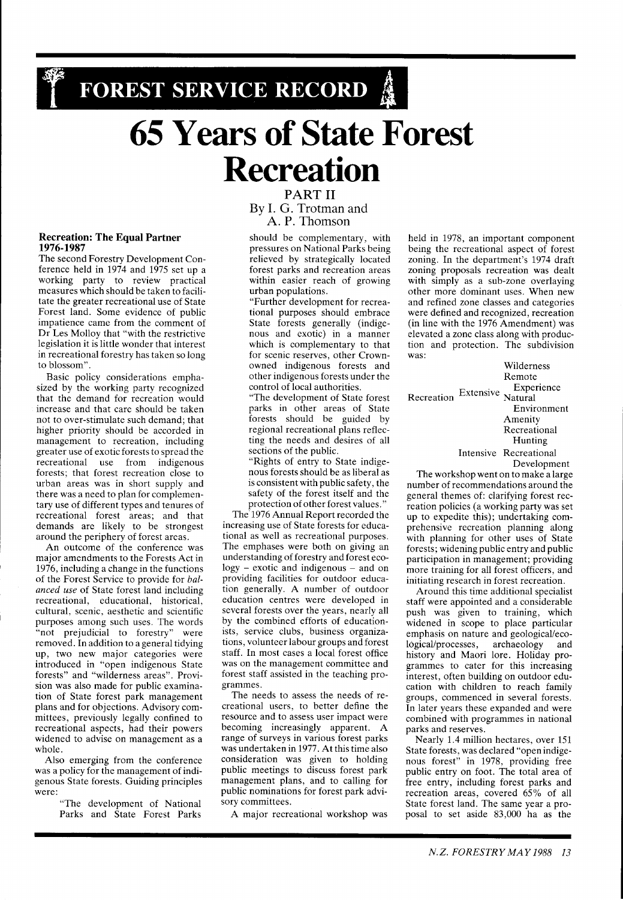# **FOREST SERVICE RECORD &**

# **65 Years of State Forest Recreation**

# **Recreation: The Equal Partner 1976-1987**

The second Forestry Development Conference held in 1974 and 1975 set up a working party to review practical measures which should be taken to facilitate the greater recreational use of State Forest land. Some evidence of public impatience came from the comment of Dr Les Molloy that "with the restrictive legislation it is little wonder that interest in recreational forestry has taken so long to blossom".

Basic policy considerations emphasized by the working party recognized that the demand for recreation would increase and that care should be taken not to over-stimulate such demand; that higher priority should be accorded in management to recreation, including greater use of exotic forests to spread the recreational use from indigenous forests; that forest recreation close to urban areas was in short supply and there was a need to plan for complementary use of different types and tenures of recreational forest areas; and that demands are likely to be strongest around the periphery of forest areas.

An outcome of the conference was major amendments to the Forests Act in 1976, including a change in the functions of the Forest Service to provide for *balanced use* of State forest land including recreational, educational, historical, cultural, scenic, aesthetic and scientific purposes among such uses. The words "not prejudicial to forestry" were removed. In addition to a general tidying up, two new major categories were introduced in "open indigenous State forests" and "wilderness areas". Provision was also made for public examination of State forest park management plans and for objections. Advisory committees, previously legally confined to recreational aspects, had their powers widened to advise on management as a whole.

Also emerging from the conference was a policy for the management of indigenous State forests. Guiding principles were:

"The development of National Parks and State Forest Parks

# **PART I1**  By I. G. Trotman and A. P. Thomson

should be complementary, with pressures on National Parks being relieved by strategically located forest parks and recreation areas within easier reach of growing urban populations.

"Further development for recreational purposes should embrace State forests generally (indigenous and exotic) in a manner which is complementary to that for scenic reserves, other Crownowned indigenous forests and other indigenous forests under the control of local authorities.

"The development of State forest parks in other areas of State forests should be guided by regional recreational plans reflecting the needs and desires of all sections of the public.

"Rights of entry to State indigenous forests should be as liberal as is consistent with public safety, the safety of the forest itself and the protection of other forest values."

The 1976 Annual Report recorded the increasing use of State forests for educational as well as recreational purposes. The emphases were both on giving an understanding of forestry and forest ecology - exotic and indigenous - and on providing facilities for outdoor education generally. A number of outdoor education centres were developed in several forests over the years, nearly all by the combined efforts of educationists, service clubs, business organizations, volunteer labour groups and forest staff. In most cases a local forest office was on the management committee and forest staff assisted in the teaching programmes.

The needs to assess the needs of recreational users, to better define the resource and to assess user impact were becoming increasingly apparent. A range of surveys in various forest parks was undertaken in 1977. At this time also consideration was given to holding public meetings to discuss forest park management plans, and to calling for public nominations for forest park advisory committees.

A major recreational workshop was

held in 1978, an important component being the recreational aspect of forest zoning. In the department's 1974 draft zoning proposals recreation was dealt with simply as a sub-zone overlaying other more dominant uses. When new and refined zone classes and categories were defined and recognized, recreation (in line with the 1976 Amendment) was elevated a zone class along with production and protection. The subdivision was:

Wilderness Remote Extensive Experience Recreation Natural Environment Amenity Recreational Hunting Intensive Recreational Development

The workshop went on to make a large number of recommendations around the general themes of: clarifying forest recreation policies (a working party was set up to expedite this); undertaking comprehensive recreation planning along with planning for other uses of State forests; widening public entry and public participation in management; providing more training for all forest officers, and initiating research in forest recreation.

Around this time additional specialist staff were appointed and a considerable push was given to training, which widened in scope to place particular emphasis on nature and geological/ecological/processes, archaeology and history and Maori lore. Holiday programmes to cater for this increasing interest, often building on outdoor education with children to reach family groups, commenced in several forests. In later years these expanded and were combined with programmes in national parks and reserves.

Nearly 1.4 million hectares, over 151 State forests, was declared "open indigenous forest" in 1978, providing free public entry on foot. The total area of free entry, including forest parks and recreation areas, covered 65% of all State forest land. The same year a proposal to set aside 83,000 ha as the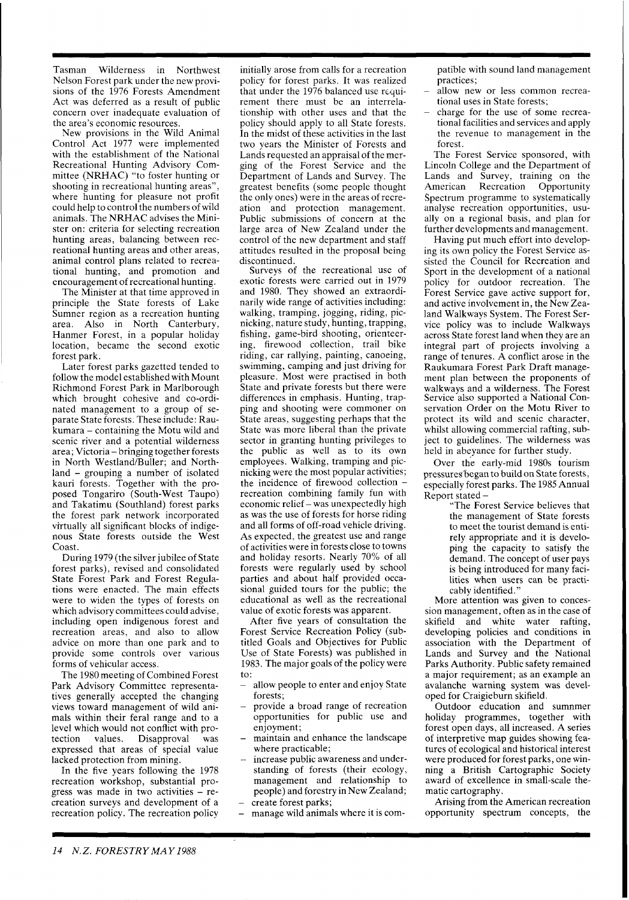Tasman Wilderness in Northwest Nelson Forest park under the new provisions of the 1976 Forests Amendment Act was deferred as a result of public concern over inadequate evaluation of the area's economic resources.

New provisions in the Wild Animal Control Act 1977 were implemented with the establishment of the National Recreational Hunting Advisory Committee (NRHAC) "to foster hunting or shooting in recreational hunting areas" where hunting for pleasure not profit could help to control the numbers of wild animals. The NRHAC advises the Minister on: criteria for selecting recreation hunting areas, balancing between recreational hunting areas and other areas, animal control plans related to recreational hunting, and promotion and encouragement of recreational hunting.

The Minister at that time approved in principle the State forests of Lake Sumner region as a recreation hunting area. Also in North Canterbury, Hanmer Forest, in a popular holiday location, became the second exotic forest park.

Later forest parks gazetted tended to follow the model established with Mount Richmond Forest Park in Marlborough which brought cohesive and co-ordinated management to a group of separate State forests. These include: Raukumara - containing the Motu wild and scenic river and a potential wilderness area; Victoria - bringing together forests in North Westland/Buller; and Northland - grouping a number of isolated kauri forests. Together with the proposed Tongariro (South-West Taupo) and Takatimu (Southland) forest parks the forest park network incorporated virtually all significant blocks of indigenous State forests outside the West Coast.

During 1979 (the silver jubilee of State forest parks), revised and consolidated State Forest Park and Forest Regulations were enacted. The main effects were to widen the types of forests on which advisory committees could advise, including open indigenous forest and recreation areas, and also to allow advice on more than one park and to provide some controls over various forms of vehicular access.

The 1980 meeting of Combined Forest Park Advisory Committee representatives generally accepted the changing views toward management of wild animals within their feral range and to a level which would not conflict with pro-<br>tection values. Disapproval was Disapproval expressed that areas of special value lacked protection from mining.

In the five years following the 1978 recreation workshop, substantial progress was made in two activities  $-$  recreation surveys and development of a recreation policy. The recreation policy

initially arose from calls for a recreation policy for forest parks. It was realized that under the 1976 balanced use rcquirement there must be an interrelationship with other uses and that the policy should apply to all State forests. In the midst of these activities in the last two years the Minister of Forests and Lands requested an appraisal of the merging of the Forest Service and the Department of Lands and Survey. The greatest benefits (some people thought the only ones) were in the areas of recreation and protection management. Public submissions of concern at the large area of New Zealand under the control of the new department and staff attitudes resulted in the proposal being discontinued.

Surveys of the recreational use of exotic forests were carried out in 1979 and 1980. They showed an extraordinarily wide range of activities including: walking, tramping, jogging, riding, picnicking, nature study, hunting, trapping, fishing, game-bird shooting, orienteering, firewood collection, trail bike riding, car rallying, painting, canoeing, swimming, camping and just driving for pleasure. Most were practised in both State and private forests but there were differences in emphasis. Hunting, trapping and shooting were commoner on State areas, suggesting perhaps that the State was more liberal than the private sector in granting hunting privileges to the public as well as to its own employees. Walking, tramping and picnicking were the most popular activities; the incidence of firewood collection recreation combining family fun with economic relief – was unexpectedly high as was the use of forests for horse riding and all forms of off-road vehicle driving. As expected, the greatest use and range of activities were in forests close to towns and holiday resorts. Nearly 70% of all forests were regularly used by school parties and about half provided occasional guided tours for the public; the educational as well as the recreational value of exotic forests was apparent.

After five years of consultation the Forest Service Recreation Policy (subtitled Goals and Objectives for Public Use of State Forests) was published in 1983. The major goals of the policy were to:

- allow people to enter and enjoy State
- forests;<br>provide a broad range of recreation opportunities for public use and
- maintain and enhance the landscape<br>where practicable;
- increase public awareness and understanding of forests (their ecology, management and relationship to people) and forestry in New Zealand;<br>create forest parks;
- manage wild animals where it is com-

patible with sound land management practices;

- allow new or less common recrea-<br>tional uses in State forests;
- charge for the use of some recreational facilities and services and apply the revenue to management in the forest.

The Forest Service sponsored, with Lincoln College and the Department of Lands and Survey, training on the American Recreation Opportunity Spectrum programme to systematically analyse recreation opportunities, usually on a regional basis, and plan for further developments and management.

Having put much effort into developing its own policy the Forest Service assisted the Council for Recreation and Sport in the development of a national policy for outdoor recreation. The Forest Service gave active support for, and active involvement in, the New Zealand Walkways System. The Forest Service policy was to include Walkways across State forest land when they are an integral part of projects involving a range of tenures. A conflict arose in the Raukumara Forest Park Draft management plan between the proponents of walkways and a wilderness. The Forest Service also supported a National Conservation Order on the Motu River to protect its wild and scenic character, whilst allowing commercial rafting, subject to guidelines. The wilderness was held in abeyance for further study.

Over the early-mid 1980s tourism pressures began to build on State forests, especially forest parks. The 1985 Annual Report stated -

"The Forest Service believes that the management of State forests to meet the tourist demand is entirely appropriate and it is developing the capacity to satisfy the demand. The concept of user pays is being introduced for many facilities when users can be practicably identified."

More attention was given to concession management, often as in the case of skifield and white water rafting, developing policies and conditions in association with the Department of Lands and Survey and the National Parks Authority. Public safety remained a major requirement; as an example an avalanche warning system was developed for Craigieburn skifield.

Outdoor education and sumnmer holiday programmes, together with forest open days, all increased. A series of interpretive map guides showing features of ecological and historical interest were produced for forest parks, one winning a British Cartographic Society award of excellence in small-scale thematic cartography.

Arising from the American recreation opportunity spectrum concepts, the